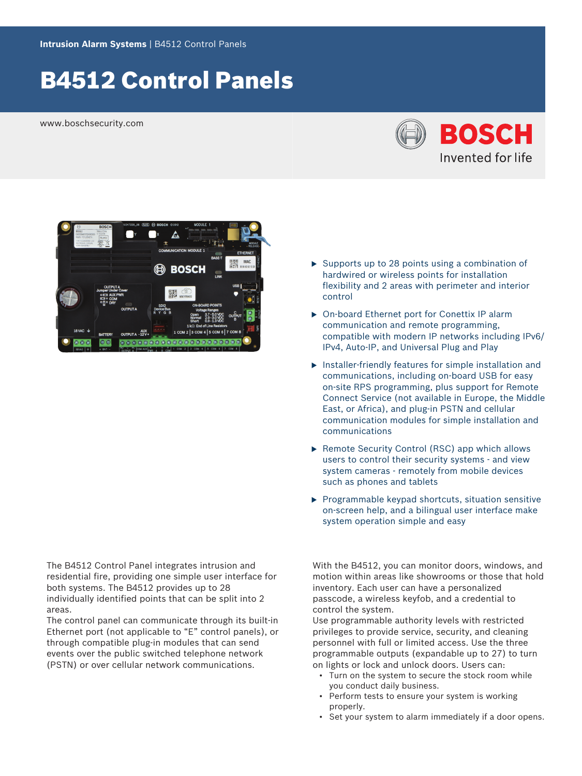# B4512 Control Panels

www.boschsecurity.com





The B4512 Control Panel integrates intrusion and residential fire, providing one simple user interface for both systems. The B4512 provides up to 28 individually identified points that can be split into 2 areas.

The control panel can communicate through its built-in Ethernet port (not applicable to "E" control panels), or through compatible plug-in modules that can send events over the public switched telephone network (PSTN) or over cellular network communications.

- $\triangleright$  Supports up to 28 points using a combination of hardwired or wireless points for installation flexibility and 2 areas with perimeter and interior control
- ▶ On-board Ethernet port for Conettix IP alarm communication and remote programming, compatible with modern IP networks including IPv6/ IPv4, Auto-IP, and Universal Plug and Play
- $\blacktriangleright$  Installer-friendly features for simple installation and communications, including on-board USB for easy on-site RPS programming, plus support for Remote Connect Service (not available in Europe, the Middle East, or Africa), and plug-in PSTN and cellular communication modules for simple installation and communications
- $\triangleright$  Remote Security Control (RSC) app which allows users to control their security systems - and view system cameras - remotely from mobile devices such as phones and tablets
- $\blacktriangleright$  Programmable keypad shortcuts, situation sensitive on-screen help, and a bilingual user interface make system operation simple and easy

With the B4512, you can monitor doors, windows, and motion within areas like showrooms or those that hold inventory. Each user can have a personalized passcode, a wireless keyfob, and a credential to control the system.

Use programmable authority levels with restricted privileges to provide service, security, and cleaning personnel with full or limited access. Use the three programmable outputs (expandable up to 27) to turn on lights or lock and unlock doors. Users can:

- Turn on the system to secure the stock room while you conduct daily business.
- Perform tests to ensure your system is working properly.
- Set your system to alarm immediately if a door opens.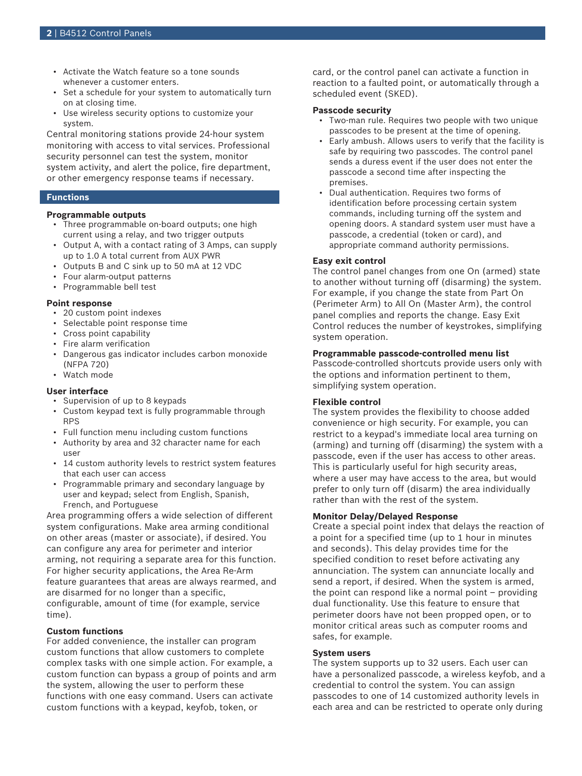- Activate the Watch feature so a tone sounds whenever a customer enters.
- Set a schedule for your system to automatically turn on at closing time.
- Use wireless security options to customize your system.

Central monitoring stations provide 24-hour system monitoring with access to vital services. Professional security personnel can test the system, monitor system activity, and alert the police, fire department, or other emergency response teams if necessary.

#### **Functions**

# **Programmable outputs**

- Three programmable on-board outputs; one high current using a relay, and two trigger outputs
- Output A, with a contact rating of 3 Amps, can supply up to 1.0 A total current from AUX PWR
- Outputs B and C sink up to 50 mA at 12 VDC
- Four alarm-output patterns
- Programmable bell test

#### **Point response**

- 20 custom point indexes
- Selectable point response time
- Cross point capability
- Fire alarm verification
- Dangerous gas indicator includes carbon monoxide (NFPA 720)
- Watch mode

# **User interface**

- Supervision of up to 8 keypads
- Custom keypad text is fully programmable through RPS
- Full function menu including custom functions
- Authority by area and 32 character name for each user
- 14 custom authority levels to restrict system features that each user can access
- Programmable primary and secondary language by user and keypad; select from English, Spanish, French, and Portuguese

Area programming offers a wide selection of different system configurations. Make area arming conditional on other areas (master or associate), if desired. You can configure any area for perimeter and interior arming, not requiring a separate area for this function. For higher security applications, the Area Re-Arm feature guarantees that areas are always rearmed, and are disarmed for no longer than a specific, configurable, amount of time (for example, service time).

#### **Custom functions**

For added convenience, the installer can program custom functions that allow customers to complete complex tasks with one simple action. For example, a custom function can bypass a group of points and arm the system, allowing the user to perform these functions with one easy command. Users can activate custom functions with a keypad, keyfob, token, or

card, or the control panel can activate a function in reaction to a faulted point, or automatically through a scheduled event (SKED).

#### **Passcode security**

- Two-man rule. Requires two people with two unique passcodes to be present at the time of opening.
- Early ambush. Allows users to verify that the facility is safe by requiring two passcodes. The control panel sends a duress event if the user does not enter the passcode a second time after inspecting the premises.
- Dual authentication. Requires two forms of identification before processing certain system commands, including turning off the system and opening doors. A standard system user must have a passcode, a credential (token or card), and appropriate command authority permissions.

#### **Easy exit control**

The control panel changes from one On (armed) state to another without turning off (disarming) the system. For example, if you change the state from Part On (Perimeter Arm) to All On (Master Arm), the control panel complies and reports the change. Easy Exit Control reduces the number of keystrokes, simplifying system operation.

#### **Programmable passcode-controlled menu list**

Passcode-controlled shortcuts provide users only with the options and information pertinent to them, simplifying system operation.

#### **Flexible control**

The system provides the flexibility to choose added convenience or high security. For example, you can restrict to a keypad's immediate local area turning on (arming) and turning off (disarming) the system with a passcode, even if the user has access to other areas. This is particularly useful for high security areas, where a user may have access to the area, but would prefer to only turn off (disarm) the area individually rather than with the rest of the system.

#### **Monitor Delay/Delayed Response**

Create a special point index that delays the reaction of a point for a specified time (up to 1 hour in minutes and seconds). This delay provides time for the specified condition to reset before activating any annunciation. The system can annunciate locally and send a report, if desired. When the system is armed, the point can respond like a normal point – providing dual functionality. Use this feature to ensure that perimeter doors have not been propped open, or to monitor critical areas such as computer rooms and safes, for example.

#### **System users**

The system supports up to 32 users. Each user can have a personalized passcode, a wireless keyfob, and a credential to control the system. You can assign passcodes to one of 14 customized authority levels in each area and can be restricted to operate only during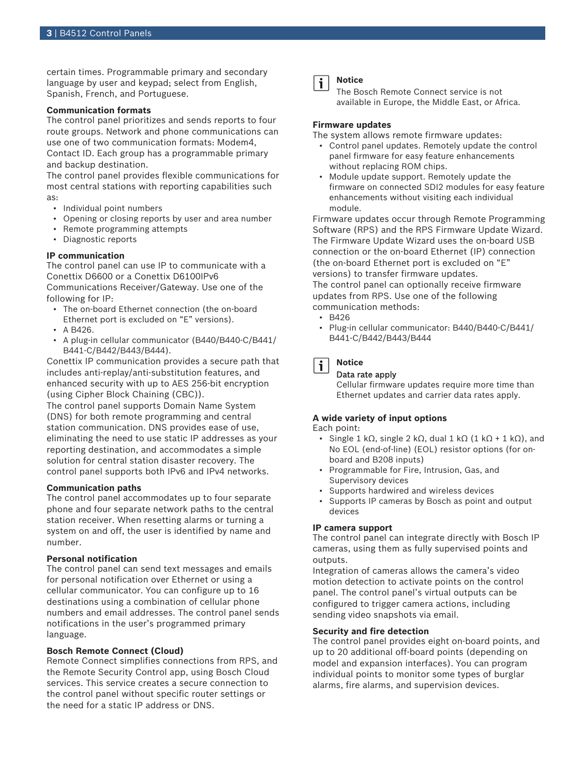certain times. Programmable primary and secondary language by user and keypad; select from English, Spanish, French, and Portuguese.

#### **Communication formats**

The control panel prioritizes and sends reports to four route groups. Network and phone communications can use one of two communication formats: Modem4, Contact ID. Each group has a programmable primary and backup destination.

The control panel provides flexible communications for most central stations with reporting capabilities such as:

- Individual point numbers
- Opening or closing reports by user and area number
- Remote programming attempts
- Diagnostic reports

#### **IP communication**

The control panel can use IP to communicate with a Conettix D6600 or a Conettix D6100IPv6 Communications Receiver/Gateway. Use one of the following for IP:

- The on-board Ethernet connection (the on-board Ethernet port is excluded on "E" versions).
- A B426.
- A plug-in cellular communicator (B440/B440-C/B441/ B441-C/B442/B443/B444).

Conettix IP communication provides a secure path that includes anti-replay/anti-substitution features, and enhanced security with up to AES 256-bit encryption (using Cipher Block Chaining (CBC)).

The control panel supports Domain Name System (DNS) for both remote programming and central station communication. DNS provides ease of use, eliminating the need to use static IP addresses as your reporting destination, and accommodates a simple solution for central station disaster recovery. The control panel supports both IPv6 and IPv4 networks.

#### **Communication paths**

The control panel accommodates up to four separate phone and four separate network paths to the central station receiver. When resetting alarms or turning a system on and off, the user is identified by name and number.

#### **Personal notification**

The control panel can send text messages and emails for personal notification over Ethernet or using a cellular communicator. You can configure up to 16 destinations using a combination of cellular phone numbers and email addresses. The control panel sends notifications in the user's programmed primary language.

#### **Bosch Remote Connect (Cloud)**

Remote Connect simplifies connections from RPS, and the Remote Security Control app, using Bosch Cloud services. This service creates a secure connection to the control panel without specific router settings or the need for a static IP address or DNS.

#### **Notice** i

The Bosch Remote Connect service is not available in Europe, the Middle East, or Africa.

#### **Firmware updates**

The system allows remote firmware updates:

- Control panel updates. Remotely update the control panel firmware for easy feature enhancements without replacing ROM chips.
- Module update support. Remotely update the firmware on connected SDI2 modules for easy feature enhancements without visiting each individual module.

Firmware updates occur through Remote Programming Software (RPS) and the RPS Firmware Update Wizard. The Firmware Update Wizard uses the on-board USB connection or the on-board Ethernet (IP) connection (the on-board Ethernet port is excluded on "E" versions) to transfer firmware updates. The control panel can optionally receive firmware updates from RPS. Use one of the following communication methods:

- $-BA26$
- Plug-in cellular communicator: B440/B440-C/B441/ B441-C/B442/B443/B444

#### **Notice** i

#### Data rate apply

Cellular firmware updates require more time than Ethernet updates and carrier data rates apply.

#### **A wide variety of input options**

Each point:

- Single 1 kΩ, single 2 kΩ, dual 1 kΩ (1 kΩ + 1 kΩ), and No EOL (end-of-line) (EOL) resistor options (for onboard and B208 inputs)
- Programmable for Fire, Intrusion, Gas, and Supervisory devices
- Supports hardwired and wireless devices
- Supports IP cameras by Bosch as point and output devices

#### **IP camera support**

The control panel can integrate directly with Bosch IP cameras, using them as fully supervised points and outputs.

Integration of cameras allows the camera's video motion detection to activate points on the control panel. The control panel's virtual outputs can be configured to trigger camera actions, including sending video snapshots via email.

#### **Security and fire detection**

The control panel provides eight on-board points, and up to 20 additional off-board points (depending on model and expansion interfaces). You can program individual points to monitor some types of burglar alarms, fire alarms, and supervision devices.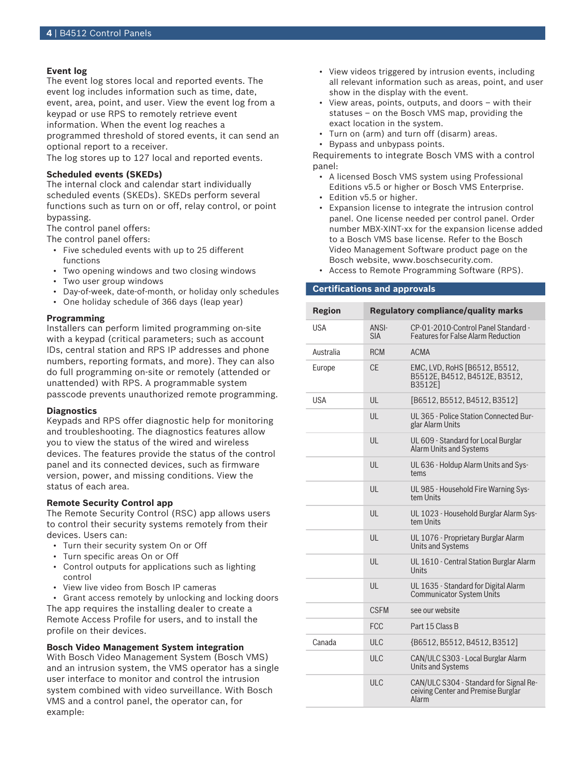# **Event log**

The event log stores local and reported events. The event log includes information such as time, date, event, area, point, and user. View the event log from a keypad or use RPS to remotely retrieve event information. When the event log reaches a programmed threshold of stored events, it can send an optional report to a receiver.

The log stores up to 127 local and reported events.

# **Scheduled events (SKEDs)**

The internal clock and calendar start individually scheduled events (SKEDs). SKEDs perform several functions such as turn on or off, relay control, or point bypassing.

The control panel offers:

The control panel offers:

- Five scheduled events with up to 25 different functions
- Two opening windows and two closing windows
- Two user group windows
- Day-of-week, date-of-month, or holiday only schedules
- One holiday schedule of 366 days (leap year)

# **Programming**

Installers can perform limited programming on-site with a keypad (critical parameters; such as account IDs, central station and RPS IP addresses and phone numbers, reporting formats, and more). They can also do full programming on-site or remotely (attended or unattended) with RPS. A programmable system passcode prevents unauthorized remote programming.

#### **Diagnostics**

Keypads and RPS offer diagnostic help for monitoring and troubleshooting. The diagnostics features allow you to view the status of the wired and wireless devices. The features provide the status of the control panel and its connected devices, such as firmware version, power, and missing conditions. View the status of each area.

#### **Remote Security Control app**

The Remote Security Control (RSC) app allows users to control their security systems remotely from their devices. Users can:

- Turn their security system On or Off
- Turn specific areas On or Off
- Control outputs for applications such as lighting control
- View live video from Bosch IP cameras

• Grant access remotely by unlocking and locking doors The app requires the installing dealer to create a Remote Access Profile for users, and to install the profile on their devices.

**Bosch Video Management System integration** With Bosch Video Management System (Bosch VMS) and an intrusion system, the VMS operator has a single user interface to monitor and control the intrusion system combined with video surveillance. With Bosch VMS and a control panel, the operator can, for example:

- View videos triggered by intrusion events, including all relevant information such as areas, point, and user show in the display with the event.
- View areas, points, outputs, and doors with their statuses – on the Bosch VMS map, providing the exact location in the system.
- Turn on (arm) and turn off (disarm) areas.
- Bypass and unbypass points.

Requirements to integrate Bosch VMS with a control panel:

- A licensed Bosch VMS system using Professional Editions v5.5 or higher or Bosch VMS Enterprise.
- Edition v5.5 or higher.
- Expansion license to integrate the intrusion control panel. One license needed per control panel. Order number MBX-XINT-xx for the expansion license added to a Bosch VMS base license. Refer to the Bosch Video Management Software product page on the Bosch website, www.boschsecurity.com.
- Access to Remote Programming Software (RPS).

#### **Certifications and approvals**

| <b>Region</b> | <b>Regulatory compliance/quality marks</b> |                                                                                       |
|---------------|--------------------------------------------|---------------------------------------------------------------------------------------|
| <b>USA</b>    | <b>ANSI-</b><br><b>SIA</b>                 | CP-01-2010-Control Panel Standard -<br><b>Features for False Alarm Reduction</b>      |
| Australia     | <b>RCM</b>                                 | <b>ACMA</b>                                                                           |
| Europe        | CF                                         | EMC, LVD, RoHS [B6512, B5512,<br>B5512E, B4512, B4512E, B3512,<br>B3512E]             |
| USA           | UL                                         | [B6512, B5512, B4512, B3512]                                                          |
|               | UL                                         | UL 365 - Police Station Connected Bur-<br>glar Alarm Units                            |
|               | UL                                         | UL 609 - Standard for Local Burglar<br><b>Alarm Units and Systems</b>                 |
|               | III                                        | UL 636 - Holdup Alarm Units and Sys-<br>tems                                          |
|               | UL                                         | UL 985 - Household Fire Warning Sys-<br>tem Units                                     |
|               | UL                                         | UL 1023 - Household Burglar Alarm Sys-<br>tem Units                                   |
|               | UL                                         | UL 1076 - Proprietary Burglar Alarm<br><b>Units and Systems</b>                       |
|               | UL                                         | UL 1610 - Central Station Burglar Alarm<br><b>Units</b>                               |
|               | UL                                         | UL 1635 - Standard for Digital Alarm<br><b>Communicator System Units</b>              |
|               | <b>CSEM</b>                                | see our website                                                                       |
|               | <b>FCC</b>                                 | Part 15 Class B                                                                       |
| Canada        | ULC                                        | {B6512, B5512, B4512, B3512]                                                          |
|               | ULC                                        | CAN/ULC S303 - Local Burglar Alarm<br><b>Units and Systems</b>                        |
|               | ULC                                        | CAN/ULC S304 - Standard for Signal Re-<br>ceiving Center and Premise Burglar<br>Alarm |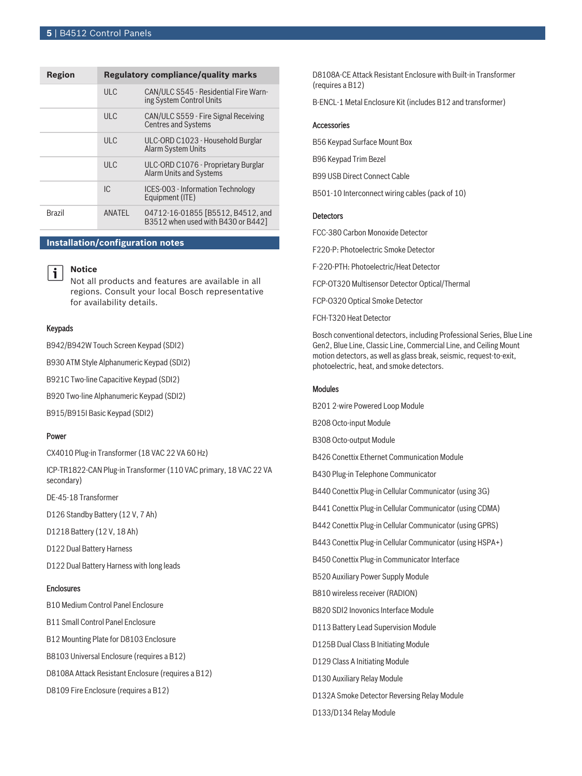| Region        | <b>Regulatory compliance/quality marks</b> |                                                                         |
|---------------|--------------------------------------------|-------------------------------------------------------------------------|
|               | ULC                                        | CAN/ULC S545 - Residential Fire Warn-<br>ing System Control Units       |
|               | $UL$ $C$                                   | CAN/ULC S559 - Fire Signal Receiving<br><b>Centres and Systems</b>      |
|               | ULC                                        | ULC-ORD C1023 - Household Burglar<br><b>Alarm System Units</b>          |
|               | ULC                                        | ULC-ORD C1076 - Proprietary Burglar<br><b>Alarm Units and Systems</b>   |
|               | IC.                                        | ICES-003 - Information Technology<br>Equipment (ITE)                    |
| <b>Brazil</b> | ANATEL                                     | 04712-16-01855 [B5512, B4512, and<br>B3512 when used with B430 or B442] |

#### **Installation/configuration notes**



# **Notice**

Not all products and features are available in all regions. Consult your local Bosch representative for availability details.

#### Keypads

B942/B942W Touch Screen Keypad (SDI2)

B930 ATM Style Alphanumeric Keypad (SDI2)

B921C Two-line Capacitive Keypad (SDI2)

B920 Two-line Alphanumeric Keypad (SDI2)

B915/B915I Basic Keypad (SDI2)

#### Power

CX4010 Plug-in Transformer (18 VAC 22 VA 60 Hz)

ICP‑TR1822‑CAN Plug‑in Transformer (110 VAC primary, 18 VAC 22 VA secondary)

DE-45-18 Transformer

D126 Standby Battery (12 V, 7 Ah)

D1218 Battery (12 V, 18 Ah)

D122 Dual Battery Harness

D122 Dual Battery Harness with long leads

# Enclosures

B10 Medium Control Panel Enclosure B11 Small Control Panel Enclosure B12 Mounting Plate for D8103 Enclosure B8103 Universal Enclosure (requires a B12) D8108A Attack Resistant Enclosure (requires a B12) D8109 Fire Enclosure (requires a B12)

D8108A-CE Attack Resistant Enclosure with Built-in Transformer (requires a B12)

B-ENCL-1 Metal Enclosure Kit (includes B12 and transformer)

#### **Accessories**

B56 Keypad Surface Mount Box B96 Keypad Trim Bezel B99 USB Direct Connect Cable

B501-10 Interconnect wiring cables (pack of 10)

#### **Detectors**

FCC-380 Carbon Monoxide Detector

F220-P: Photoelectric Smoke Detector

F-220-PTH: Photoelectric/Heat Detector

FCP-OT320 Multisensor Detector Optical/Thermal

FCP-O320 Optical Smoke Detector

FCH-T320 Heat Detector

D133/D134 Relay Module

Bosch conventional detectors, including Professional Series, Blue Line Gen2, Blue Line, Classic Line, Commercial Line, and Ceiling Mount motion detectors, as well as glass break, seismic, request-to-exit, photoelectric, heat, and smoke detectors.

#### Modules

B201 2-wire Powered Loop Module B208 Octo-input Module B308 Octo-output Module B426 Conettix Ethernet Communication Module B430 Plug-in Telephone Communicator B440 Conettix Plug-in Cellular Communicator (using 3G) B441 Conettix Plug-in Cellular Communicator (using CDMA) B442 Conettix Plug-in Cellular Communicator (using GPRS) B443 Conettix Plug-in Cellular Communicator (using HSPA+) B450 Conettix Plug-in Communicator Interface B520 Auxiliary Power Supply Module B810 wireless receiver (RADION) B820 SDI2 Inovonics Interface Module D113 Battery Lead Supervision Module D125B Dual Class B Initiating Module D129 Class A Initiating Module D130 Auxiliary Relay Module D132A Smoke Detector Reversing Relay Module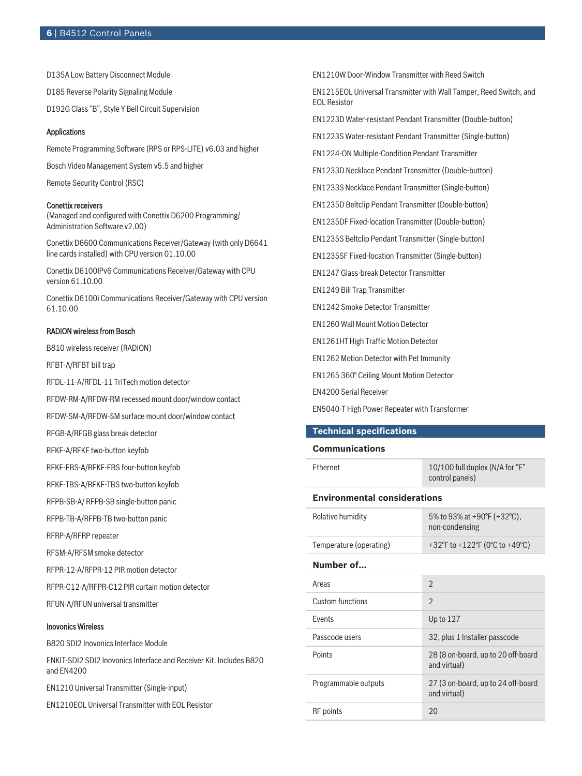D135A Low Battery Disconnect Module D185 Reverse Polarity Signaling Module D192G Class "B", Style Y Bell Circuit Supervision

#### Applications

Remote Programming Software (RPS or RPS-LITE) v6.03 and higher

Bosch Video Management System v5.5 and higher

Remote Security Control (RSC)

#### Conettix receivers

(Managed and configured with Conettix D6200 Programming/ Administration Software v2.00)

Conettix D6600 Communications Receiver/Gateway (with only D6641 line cards installed) with CPU version 01.10.00

Conettix D6100IPv6 Communications Receiver/Gateway with CPU version 61.10.00

Conettix D6100i Communications Receiver/Gateway with CPU version 61.10.00

#### RADION wireless from Bosch

B810 wireless receiver (RADION)

RFBT-A/RFBT bill trap

RFDL-11-A/RFDL-11 TriTech motion detector

RFDW-RM-A/RFDW-RM recessed mount door/window contact

RFDW-SM-A/RFDW-SM surface mount door/window contact

RFGB-A/RFGB glass break detector

RFKF-A/RFKF two-button keyfob

RFKF-FBS-A/RFKF-FBS four-button keyfob

RFKF-TBS-A/RFKF-TBS two-button keyfob

RFPB-SB-A/ RFPB-SB single-button panic

RFPB-TB-A/RFPB-TB two-button panic

RFRP-A/RFRP repeater

RFSM-A/RFSM smoke detector

RFPR-12-A/RFPR-12 PIR motion detector

RFPR-C12-A/RFPR-C12 PIR curtain motion detector

RFUN-A/RFUN universal transmitter

# Inovonics Wireless

B820 SDI2 Inovonics Interface Module

ENKIT-SDI2 SDI2 Inovonics Interface and Receiver Kit. Includes B820 and EN4200

EN1210 Universal Transmitter (Single-input)

EN1210EOL Universal Transmitter with EOL Resistor

EN1210W Door-Window Transmitter with Reed Switch

EN1215EOL Universal Transmitter with Wall Tamper, Reed Switch, and EOL Resistor

EN1223D Water‑resistant Pendant Transmitter (Double‑button)

EN1223S Water‑resistant Pendant Transmitter (Single‑button)

EN1224-ON Multiple-Condition Pendant Transmitter

EN1233D Necklace Pendant Transmitter (Double-button)

EN1233S Necklace Pendant Transmitter (Single-button)

EN1235D Beltclip Pendant Transmitter (Double-button)

EN1235DF Fixed-location Transmitter (Double-button)

EN1235S Beltclip Pendant Transmitter (Single-button)

EN1235SF Fixed-location Transmitter (Single-button)

EN1247 Glass-break Detector Transmitter

EN1249 Bill Trap Transmitter

EN1242 Smoke Detector Transmitter

EN1260 Wall Mount Motion Detector

EN1261HT High Traffic Motion Detector

EN1262 Motion Detector with Pet Immunity

EN1265 360° Ceiling Mount Motion Detector

EN4200 Serial Receiver

EN5040-T High Power Repeater with Transformer

#### **Technical specifications**

#### **Communications**

| <b>Fthernet</b>                     | 10/100 full duplex (N/A for "E"<br>control panels) |  |  |  |
|-------------------------------------|----------------------------------------------------|--|--|--|
| <b>Environmental considerations</b> |                                                    |  |  |  |
| Relative humidity                   | 5% to 93% at +90°F (+32°C),<br>non-condensing      |  |  |  |
| Temperature (operating)             | +32°F to +122°F (0°C to +49°C)                     |  |  |  |
| Number of                           |                                                    |  |  |  |
| Areas                               | $\mathfrak{D}$                                     |  |  |  |
| Custom functions                    | $\mathfrak{D}$                                     |  |  |  |
| <b>Fvents</b>                       | Up to 127                                          |  |  |  |
| Passcode users                      | 32, plus 1 Installer passcode                      |  |  |  |
| Points                              | 28 (8 on-board, up to 20 off-board<br>and virtual) |  |  |  |
| Programmable outputs                | 27 (3 on-board, up to 24 off-board<br>and virtual) |  |  |  |
| <b>RF</b> points                    | 20                                                 |  |  |  |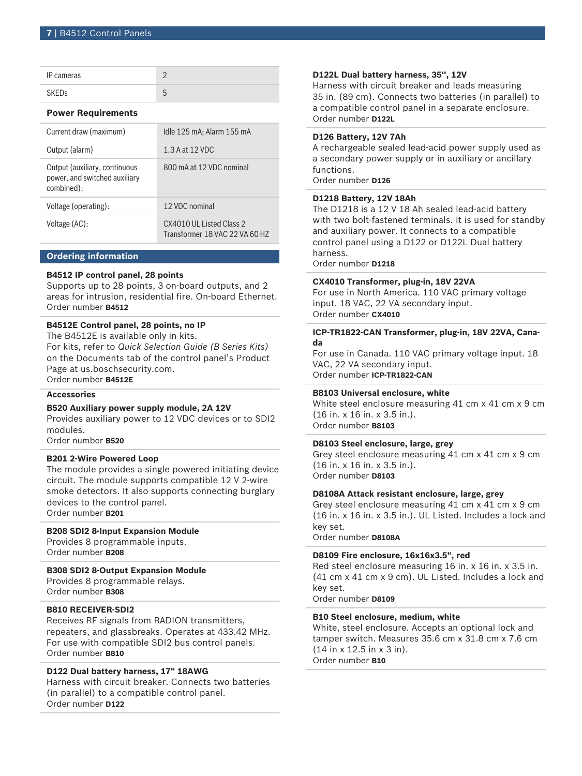| IP cameras |  |
|------------|--|
|            |  |

#### **Power Requirements**

| Current draw (maximum)                                                       | Idle 125 mA; Alarm 155 mA                                  |
|------------------------------------------------------------------------------|------------------------------------------------------------|
| Output (alarm)                                                               | 1.3 A at 12 VDC                                            |
| Output (auxiliary, continuous<br>power, and switched auxiliary<br>combined): | 800 mA at 12 VDC nominal                                   |
| Voltage (operating):                                                         | 12 VDC nominal                                             |
| Voltage (AC):                                                                | CX4010 ULL isted Class 2<br>Transformer 18 VAC 22 VA 60 HZ |

#### **Ordering information**

# **B4512 IP control panel, 28 points**

Supports up to 28 points, 3 on-board outputs, and 2 areas for intrusion, residential fire. On-board Ethernet. Order number **B4512**

# **B4512E Control panel, 28 points, no IP**

The B4512E is available only in kits. For kits, refer to *Quick Selection Guide (B Series Kits)* on the Documents tab of the control panel's Product Page at us.boschsecurity.com. Order number **B4512E**

#### **Accessories**

#### **B520 Auxiliary power supply module, 2A 12V**

Provides auxiliary power to 12 VDC devices or to SDI2 modules.

Order number **B520**

# **B201 2-Wire Powered Loop**

The module provides a single powered initiating device circuit. The module supports compatible 12 V 2-wire smoke detectors. It also supports connecting burglary devices to the control panel. Order number **B201**

#### **B208 SDI2 8-Input Expansion Module**

Provides 8 programmable inputs. Order number **B208**

# **B308 SDI2 8-Output Expansion Module**

Provides 8 programmable relays. Order number **B308**

#### **B810 RECEIVER-SDI2**

Receives RF signals from RADION transmitters, repeaters, and glassbreaks. Operates at 433.42 MHz. For use with compatible SDI2 bus control panels. Order number **B810**

# **D122 Dual battery harness, 17" 18AWG**

Harness with circuit breaker. Connects two batteries (in parallel) to a compatible control panel. Order number **D122**

#### **D122L Dual battery harness, 35'', 12V**

Harness with circuit breaker and leads measuring 35 in. (89 cm). Connects two batteries (in parallel) to a compatible control panel in a separate enclosure. Order number **D122L**

# **D126 Battery, 12V 7Ah**

A rechargeable sealed lead‑acid power supply used as a secondary power supply or in auxiliary or ancillary functions.

Order number **D126**

#### **D1218 Battery, 12V 18Ah**

The D1218 is a 12 V 18 Ah sealed lead-acid battery with two bolt-fastened terminals. It is used for standby and auxiliary power. It connects to a compatible control panel using a D122 or D122L Dual battery harness.

Order number **D1218**

#### **CX4010 Transformer, plug-in, 18V 22VA**

For use in North America. 110 VAC primary voltage input. 18 VAC, 22 VA secondary input. Order number **CX4010**

# **ICP-TR1822-CAN Transformer, plug-in, 18V 22VA, Canada**

For use in Canada. 110 VAC primary voltage input. 18 VAC, 22 VA secondary input. Order number **ICP-TR1822-CAN**

#### **B8103 Universal enclosure, white**

White steel enclosure measuring 41 cm x 41 cm x 9 cm (16 in. x 16 in. x 3.5 in.). Order number **B8103**

#### **D8103 Steel enclosure, large, grey**

Grey steel enclosure measuring 41 cm x 41 cm x 9 cm (16 in. x 16 in. x 3.5 in.). Order number **D8103**

#### **D8108A Attack resistant enclosure, large, grey**

Grey steel enclosure measuring 41 cm x 41 cm x 9 cm (16 in. x 16 in. x 3.5 in.). UL Listed. Includes a lock and key set.

Order number **D8108A**

#### **D8109 Fire enclosure, 16x16x3.5", red**

Red steel enclosure measuring 16 in. x 16 in. x 3.5 in. (41 cm x 41 cm x 9 cm). UL Listed. Includes a lock and key set.

Order number **D8109**

#### **B10 Steel enclosure, medium, white**

White, steel enclosure. Accepts an optional lock and tamper switch. Measures 35.6 cm x 31.8 cm x 7.6 cm (14 in x 12.5 in x 3 in). Order number **B10**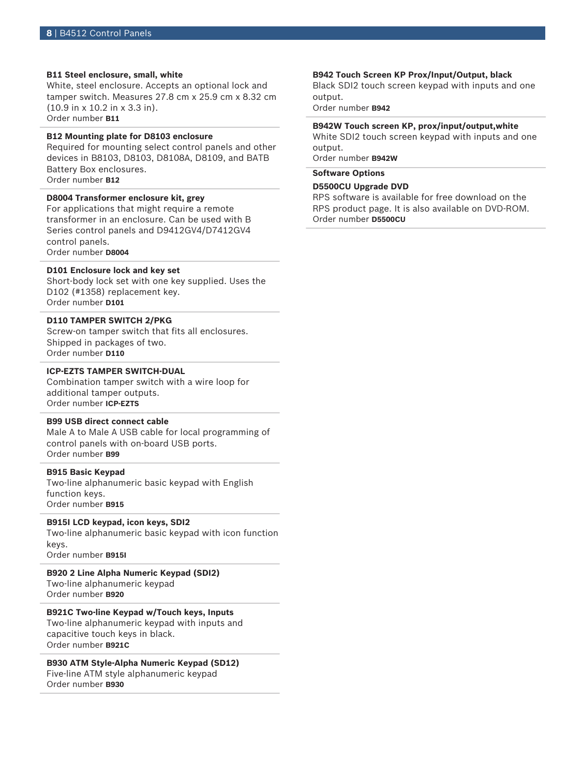#### **B11 Steel enclosure, small, white**

White, steel enclosure. Accepts an optional lock and tamper switch. Measures 27.8 cm x 25.9 cm x 8.32 cm (10.9 in x 10.2 in x 3.3 in). Order number **B11**

# **B12 Mounting plate for D8103 enclosure**

Required for mounting select control panels and other devices in B8103, D8103, D8108A, D8109, and BATB Battery Box enclosures. Order number **B12**

# **D8004 Transformer enclosure kit, grey**

For applications that might require a remote transformer in an enclosure. Can be used with B Series control panels and D9412GV4/D7412GV4 control panels. Order number **D8004**

#### **D101 Enclosure lock and key set**

Short-body lock set with one key supplied. Uses the D102 (#1358) replacement key. Order number **D101**

# **D110 TAMPER SWITCH 2/PKG**

Screw-on tamper switch that fits all enclosures. Shipped in packages of two. Order number **D110**

#### **ICP-EZTS TAMPER SWITCH-DUAL**

Combination tamper switch with a wire loop for additional tamper outputs. Order number **ICP-EZTS**

#### **B99 USB direct connect cable**

Male A to Male A USB cable for local programming of control panels with on-board USB ports. Order number **B99**

# **B915 Basic Keypad**

Two-line alphanumeric basic keypad with English function keys. Order number **B915**

# **B915I LCD keypad, icon keys, SDI2**

Two-line alphanumeric basic keypad with icon function keys.

Order number **B915I**

**B920 2 Line Alpha Numeric Keypad (SDI2)** Two-line alphanumeric keypad

Order number **B920 B921C Two-line Keypad w/Touch keys, Inputs** Two-line alphanumeric keypad with inputs and

capacitive touch keys in black. Order number **B921C**

# **B930 ATM Style-Alpha Numeric Keypad (SD12)** Five-line ATM style alphanumeric keypad

Order number **B930**

#### **B942 Touch Screen KP Prox/Input/Output, black**

Black SDI2 touch screen keypad with inputs and one output.

Order number **B942**

#### **B942W Touch screen KP, prox/input/output,white**

White SDI2 touch screen keypad with inputs and one output.

Order number **B942W**

# **Software Options**

#### **D5500CU Upgrade DVD**

RPS software is available for free download on the RPS product page. It is also available on DVD-ROM. Order number **D5500CU**